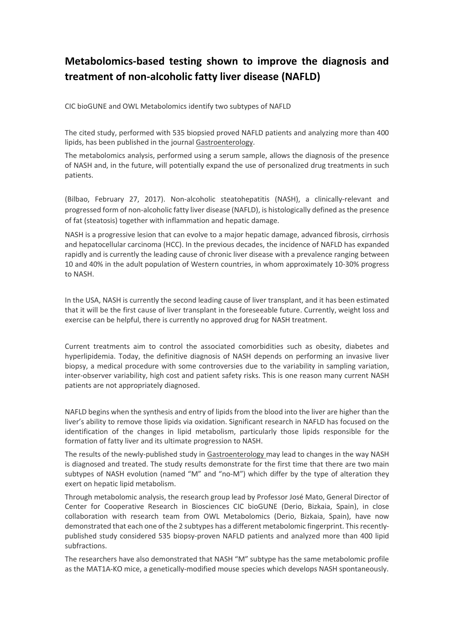## **Metabolomics-based testing shown to improve the diagnosis and treatment of non-alcoholic fatty liver disease (NAFLD)**

CIC bioGUNE and OWL Metabolomics identify two subtypes of NAFLD

The cited study, performed with 535 biopsied proved NAFLD patients and analyzing more than 400 lipids, has been published in the journal Gastroenterology.

The metabolomics analysis, performed using a serum sample, allows the diagnosis of the presence of NASH and, in the future, will potentially expand the use of personalized drug treatments in such patients.

(Bilbao, February 27, 2017). Non-alcoholic steatohepatitis (NASH), a clinically-relevant and progressed form of non-alcoholic fatty liver disease (NAFLD), is histologically defined as the presence of fat (steatosis) together with inflammation and hepatic damage.

NASH is a progressive lesion that can evolve to a major hepatic damage, advanced fibrosis, cirrhosis and hepatocellular carcinoma (HCC). In the previous decades, the incidence of NAFLD has expanded rapidly and is currently the leading cause of chronic liver disease with a prevalence ranging between 10 and 40% in the adult population of Western countries, in whom approximately 10-30% progress to NASH.

In the USA, NASH is currently the second leading cause of liver transplant, and it has been estimated that it will be the first cause of liver transplant in the foreseeable future. Currently, weight loss and exercise can be helpful, there is currently no approved drug for NASH treatment.

Current treatments aim to control the associated comorbidities such as obesity, diabetes and hyperlipidemia. Today, the definitive diagnosis of NASH depends on performing an invasive liver biopsy, a medical procedure with some controversies due to the variability in sampling variation, inter-observer variability, high cost and patient safety risks. This is one reason many current NASH patients are not appropriately diagnosed.

NAFLD begins when the synthesis and entry of lipids from the blood into the liver are higher than the liver's ability to remove those lipids via oxidation. Significant research in NAFLD has focused on the identification of the changes in lipid metabolism, particularly those lipids responsible for the formation of fatty liver and its ultimate progression to NASH.

The results of the newly-published study in Gastroenterology may lead to changes in the way NASH is diagnosed and treated. The study results demonstrate for the first time that there are two main subtypes of NASH evolution (named "M" and "no-M") which differ by the type of alteration they exert on hepatic lipid metabolism.

Through metabolomic analysis, the research group lead by Professor José Mato, General Director of Center for Cooperative Research in Biosciences CIC bioGUNE (Derio, Bizkaia, Spain), in close collaboration with research team from OWL Metabolomics (Derio, Bizkaia, Spain), have now demonstrated that each one of the 2 subtypes has a different metabolomic fingerprint. This recentlypublished study considered 535 biopsy-proven NAFLD patients and analyzed more than 400 lipid subfractions.

The researchers have also demonstrated that NASH "M" subtype has the same metabolomic profile as the MAT1A-KO mice, a genetically-modified mouse species which develops NASH spontaneously.